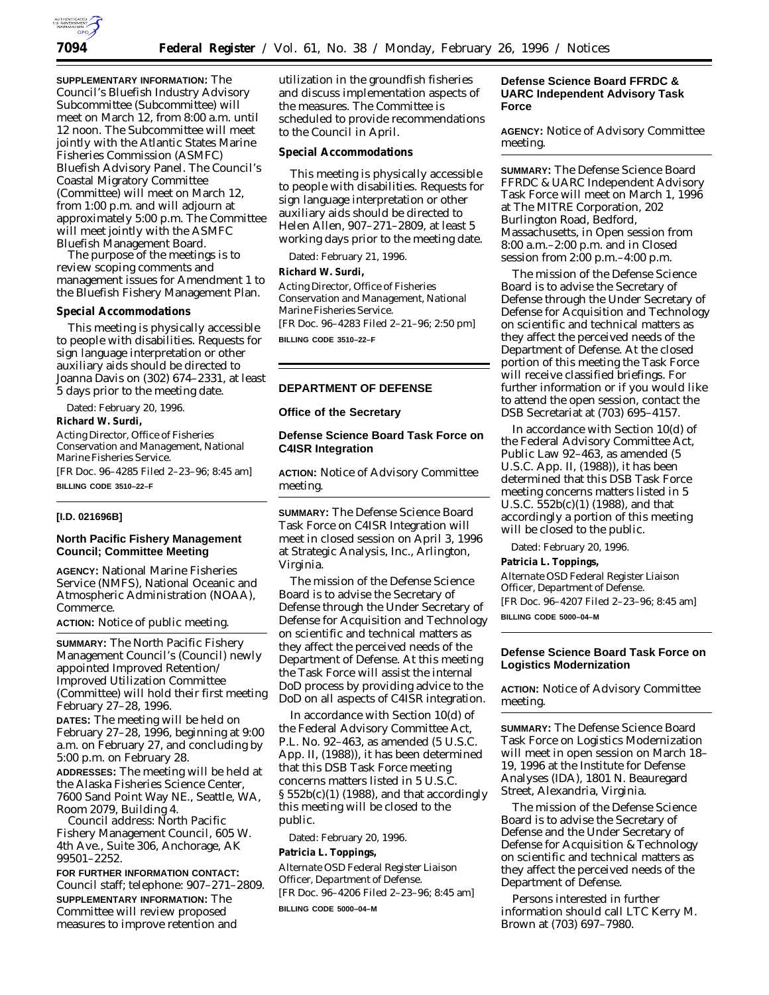

**SUPPLEMENTARY INFORMATION:** The Council's Bluefish Industry Advisory Subcommittee (Subcommittee) will meet on March 12, from 8:00 a.m. until 12 noon. The Subcommittee will meet jointly with the Atlantic States Marine Fisheries Commission (ASMFC) Bluefish Advisory Panel. The Council's Coastal Migratory Committee (Committee) will meet on March 12, from 1:00 p.m. and will adjourn at approximately 5:00 p.m. The Committee will meet jointly with the ASMFC Bluefish Management Board.

The purpose of the meetings is to review scoping comments and management issues for Amendment 1 to the Bluefish Fishery Management Plan.

## **Special Accommodations**

This meeting is physically accessible to people with disabilities. Requests for sign language interpretation or other auxiliary aids should be directed to Joanna Davis on (302) 674–2331, at least 5 days prior to the meeting date.

Dated: February 20, 1996. **Richard W. Surdi,**

*Acting Director, Office of Fisheries Conservation and Management, National Marine Fisheries Service.*

[FR Doc. 96–4285 Filed 2–23–96; 8:45 am] **BILLING CODE 3510–22–F**

#### **[I.D. 021696B]**

## **North Pacific Fishery Management Council; Committee Meeting**

**AGENCY:** National Marine Fisheries Service (NMFS), National Oceanic and Atmospheric Administration (NOAA), Commerce.

**ACTION:** Notice of public meeting.

**SUMMARY:** The North Pacific Fishery Management Council's (Council) newly appointed Improved Retention/ Improved Utilization Committee (Committee) will hold their first meeting February 27–28, 1996.

**DATES:** The meeting will be held on February 27–28, 1996, beginning at 9:00 a.m. on February 27, and concluding by 5:00 p.m. on February 28.

**ADDRESSES:** The meeting will be held at the Alaska Fisheries Science Center, 7600 Sand Point Way NE., Seattle, WA, Room 2079, Building 4.

*Council address*: North Pacific Fishery Management Council, 605 W. 4th Ave., Suite 306, Anchorage, AK 99501–2252.

**FOR FURTHER INFORMATION CONTACT:** Council staff; telephone: 907–271–2809. **SUPPLEMENTARY INFORMATION:** The Committee will review proposed measures to improve retention and

utilization in the groundfish fisheries and discuss implementation aspects of the measures. The Committee is scheduled to provide recommendations to the Council in April.

### **Special Accommodations**

This meeting is physically accessible to people with disabilities. Requests for sign language interpretation or other auxiliary aids should be directed to Helen Allen, 907–271–2809, at least 5 working days prior to the meeting date.

Dated: February 21, 1996. **Richard W. Surdi,**

*Acting Director, Office of Fisheries Conservation and Management, National Marine Fisheries Service.* [FR Doc. 96–4283 Filed 2–21–96; 2:50 pm] **BILLING CODE 3510–22–F**

## **DEPARTMENT OF DEFENSE**

#### **Office of the Secretary**

## **Defense Science Board Task Force on C4ISR Integration**

**ACTION:** Notice of Advisory Committee meeting.

**SUMMARY:** The Defense Science Board Task Force on C4ISR Integration will meet in closed session on April 3, 1996 at Strategic Analysis, Inc., Arlington, Virginia.

The mission of the Defense Science Board is to advise the Secretary of Defense through the Under Secretary of Defense for Acquisition and Technology on scientific and technical matters as they affect the perceived needs of the Department of Defense. At this meeting the Task Force will assist the internal DoD process by providing advice to the DoD on all aspects of C4ISR integration.

In accordance with Section 10(d) of the Federal Advisory Committee Act, P.L. No. 92–463, as amended (5 U.S.C. App. II, (1988)), it has been determined that this DSB Task Force meeting concerns matters listed in 5 U.S.C.  $\S 552b(c)(1)$  (1988), and that accordingly this meeting will be closed to the public.

Dated: February 20, 1996.

**Patricia L. Toppings,**

*Alternate OSD Federal Register Liaison Officer, Department of Defense.* [FR Doc. 96–4206 Filed 2–23–96; 8:45 am] **BILLING CODE 5000–04–M**

### **Defense Science Board FFRDC & UARC Independent Advisory Task Force**

**AGENCY:** Notice of Advisory Committee meeting.

**SUMMARY:** The Defense Science Board FFRDC & UARC Independent Advisory Task Force will meet on March 1, 1996 at The MITRE Corporation, 202 Burlington Road, Bedford, Massachusetts, in Open session from 8:00 a.m.–2:00 p.m. and in Closed session from 2:00 p.m.–4:00 p.m.

The mission of the Defense Science Board is to advise the Secretary of Defense through the Under Secretary of Defense for Acquisition and Technology on scientific and technical matters as they affect the perceived needs of the Department of Defense. At the closed portion of this meeting the Task Force will receive classified briefings. For further information or if you would like to attend the open session, contact the DSB Secretariat at (703) 695–4157.

In accordance with Section 10(d) of the Federal Advisory Committee Act, Public Law 92–463, as amended (5 U.S.C. App. II, (1988)), it has been determined that this DSB Task Force meeting concerns matters listed in 5 U.S.C. 552b(c)(1) (1988), and that accordingly a portion of this meeting will be closed to the public.

Dated: February 20, 1996. **Patricia L. Toppings,**

*Alternate OSD Federal Register Liaison Officer, Department of Defense.* [FR Doc. 96–4207 Filed 2–23–96; 8:45 am] **BILLING CODE 5000–04–M**

## **Defense Science Board Task Force on Logistics Modernization**

**ACTION:** Notice of Advisory Committee meeting.

**SUMMARY:** The Defense Science Board Task Force on Logistics Modernization will meet in open session on March 18– 19, 1996 at the Institute for Defense Analyses (IDA), 1801 N. Beauregard Street, Alexandria, Virginia.

The mission of the Defense Science Board is to advise the Secretary of Defense and the Under Secretary of Defense for Acquisition & Technology on scientific and technical matters as they affect the perceived needs of the Department of Defense.

Persons interested in further information should call LTC Kerry M. Brown at (703) 697–7980.